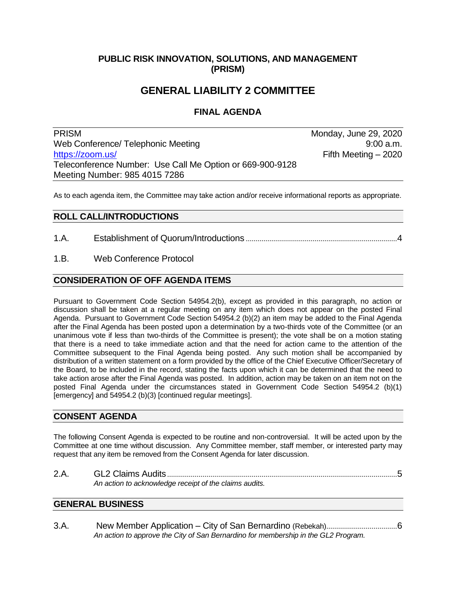## **PUBLIC RISK INNOVATION, SOLUTIONS, AND MANAGEMENT (PRISM)**

# **GENERAL LIABILITY 2 COMMITTEE**

## **FINAL AGENDA**

PRISM Monday, June 29, 2020 Web Conference/ Telephonic Meeting 19:00 a.m. [https://zoom.us/](https://zoom.us/j/98540157286?pwd=S0tOZ3ZXaXJBVTRLalczUDUyMUxodz09) Fifth Meeting – 2020 Teleconference Number: Use Call Me Option or 669-900-9128 Meeting Number: 985 4015 7286

As to each agenda item, the Committee may take action and/or receive informational reports as appropriate.

### **ROLL CALL/INTRODUCTIONS**

1.A. Establishment of Quorum/Introductions .............................................................................4

#### 1.B. Web Conference Protocol

### **CONSIDERATION OF OFF AGENDA ITEMS**

Pursuant to Government Code Section 54954.2(b), except as provided in this paragraph, no action or discussion shall be taken at a regular meeting on any item which does not appear on the posted Final Agenda. Pursuant to Government Code Section 54954.2 (b)(2) an item may be added to the Final Agenda after the Final Agenda has been posted upon a determination by a two-thirds vote of the Committee (or an unanimous vote if less than two-thirds of the Committee is present); the vote shall be on a motion stating that there is a need to take immediate action and that the need for action came to the attention of the Committee subsequent to the Final Agenda being posted. Any such motion shall be accompanied by distribution of a written statement on a form provided by the office of the Chief Executive Officer/Secretary of the Board, to be included in the record, stating the facts upon which it can be determined that the need to take action arose after the Final Agenda was posted. In addition, action may be taken on an item not on the posted Final Agenda under the circumstances stated in Government Code Section 54954.2 (b)(1) [emergency] and 54954.2 (b)(3) [continued regular meetings].

### **CONSENT AGENDA**

The following Consent Agenda is expected to be routine and non-controversial. It will be acted upon by the Committee at one time without discussion. Any Committee member, staff member, or interested party may request that any item be removed from the Consent Agenda for later discussion.

2.A. GL2 Claims Audits.....................................................................................................................5 *An action to acknowledge receipt of the claims audits.*

## **GENERAL BUSINESS**

3.A. New Member Application – City of San Bernardino (Rebekah)....................................6 *An action to approve the City of San Bernardino for membership in the GL2 Program.*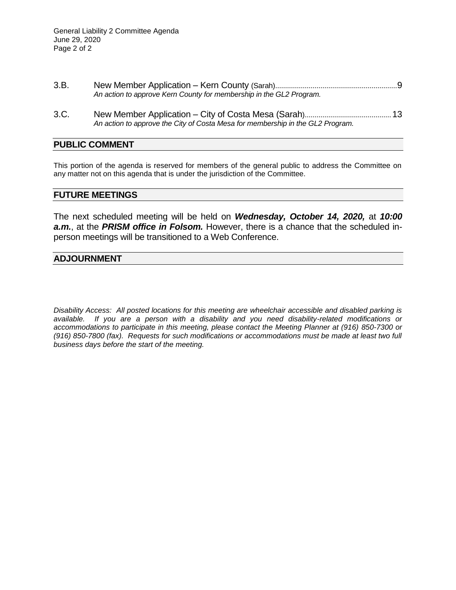- 3.B. New Member Application Kern County (Sarah)..............................................................9 *An action to approve Kern County for membership in the GL2 Program.*
- 3.C. New Member Application City of Costa Mesa (Sarah)............................................13 *An action to approve the City of Costa Mesa for membership in the GL2 Program.*

#### **PUBLIC COMMENT**

This portion of the agenda is reserved for members of the general public to address the Committee on any matter not on this agenda that is under the jurisdiction of the Committee.

#### **FUTURE MEETINGS**

The next scheduled meeting will be held on *Wednesday, October 14, 2020,* at *10:00 a.m.*, at the *PRISM office in Folsom.* However, there is a chance that the scheduled inperson meetings will be transitioned to a Web Conference.

#### **ADJOURNMENT**

*Disability Access: All posted locations for this meeting are wheelchair accessible and disabled parking is available. If you are a person with a disability and you need disability-related modifications or accommodations to participate in this meeting, please contact the Meeting Planner at (916) 850-7300 or (916) 850-7800 (fax). Requests for such modifications or accommodations must be made at least two full business days before the start of the meeting.*